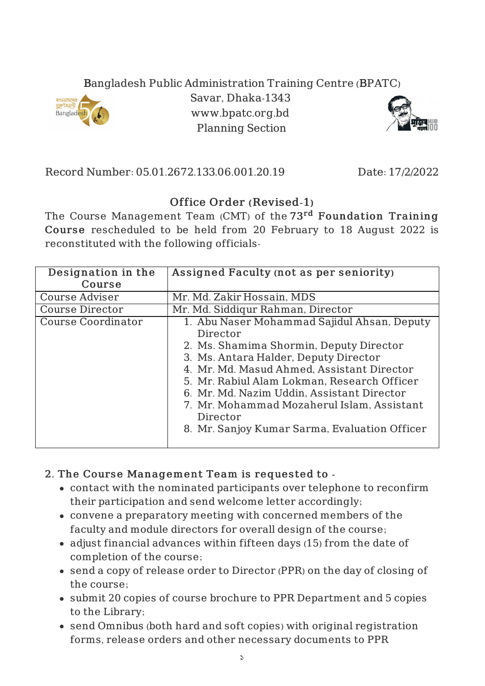## Bangladesh Public Administration Training Centre (BPATC)



Savar, Dhaka-1343 www.bpatc.org.bd Planning Section



Record Number: 05.01.2672.133.06.001.20.19 Date: 17/2/2022

## Office Order (Revised-1)

The Course Management Team (CMT) of the 73<sup>rd</sup> Foundation Training Course rescheduled to be held from 20 February to 18 August 2022 is reconstituted with the following officials-

| Designation in the     | Assigned Faculty (not as per seniority)                                                                                                                                                              |
|------------------------|------------------------------------------------------------------------------------------------------------------------------------------------------------------------------------------------------|
| Course                 |                                                                                                                                                                                                      |
| <b>Course Adviser</b>  | Mr. Md. Zakir Hossain, MDS                                                                                                                                                                           |
| <b>Course Director</b> | Mr. Md. Siddiqur Rahman, Director                                                                                                                                                                    |
| Course Coordinator     | 1. Abu Naser Mohammad Sajidul Ahsan, Deputy<br>Director<br>2. Ms. Shamima Shormin, Deputy Director<br>3. Ms. Antara Halder, Deputy Director<br>4. Mr. Md. Masud Ahmed, Assistant Director            |
|                        | 5. Mr. Rabiul Alam Lokman, Research Officer<br>6. Mr. Md. Nazim Uddin, Assistant Director<br>7. Mr. Mohammad Mozaherul Islam, Assistant<br>Director<br>8. Mr. Sanjoy Kumar Sarma, Evaluation Officer |

## 2. The Course Management Team is requested to -

- contact with the nominated participants over telephone to reconfirm their participation and send welcome letter accordingly;
- convene a preparatory meeting with concerned members of the faculty and module directors for overall design of the course;
- adjust financial advances within fifteen days (15) from the date of completion of the course;
- send a copy of release order to Director (PPR) on the day of closing of the course;
- submit 20 copies of course brochure to PPR Department and 5 copies to the Library;
- send Omnibus (both hard and soft copies) with original registration forms, release orders and other necessary documents to PPR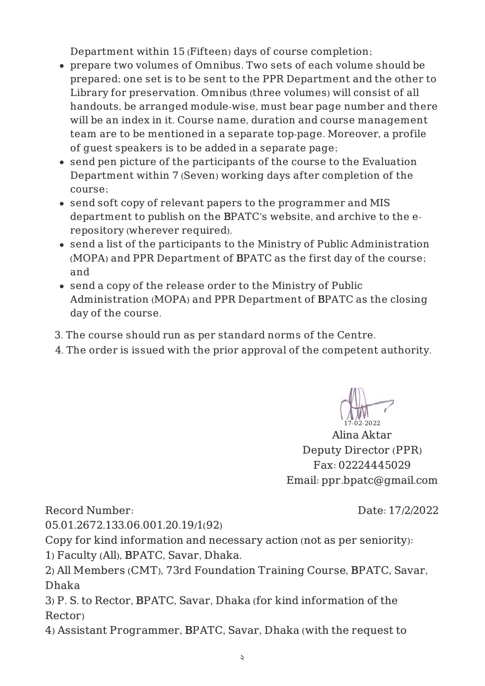Department within 15 (Fifteen) days of course completion;

- prepare two volumes of Omnibus. Two sets of each volume should be prepared; one set is to be sent to the PPR Department and the other to Library for preservation. Omnibus (three volumes) will consist of all handouts, be arranged module-wise, must bear page number and there will be an index in it. Course name, duration and course management team are to be mentioned in a separate top-page. Moreover, a profile of guest speakers is to be added in a separate page;
- send pen picture of the participants of the course to the Evaluation Department within 7 (Seven) working days after completion of the course;
- send soft copy of relevant papers to the programmer and MIS department to publish on the BPATC's website, and archive to the erepository (wherever required).
- send a list of the participants to the Ministry of Public Administration (MOPA) and PPR Department of BPATC as the first day of the course; and
- send a copy of the release order to the Ministry of Public Administration (MOPA) and PPR Department of BPATC as the closing day of the course.
- 3. The course should run as per standard norms of the Centre.
- 4. The order is issued with the prior approval of the competent authority.

17-02-2022

Alina Aktar Deputy Director (PPR) Fax: 02224445029 Email: ppr.bpatc@gmail.com

Record Number:

Date: 17/2/2022

05.01.2672.133.06.001.20.19/1(92)

Copy for kind information and necessary action (not as per seniority): 1) Faculty (All), BPATC, Savar, Dhaka.

2) All Members (CMT), 73rd Foundation Training Course, BPATC, Savar, Dhaka

3) P. S. to Rector, BPATC, Savar, Dhaka (for kind information of the Rector)

4) Assistant Programmer, BPATC, Savar, Dhaka (with the request to